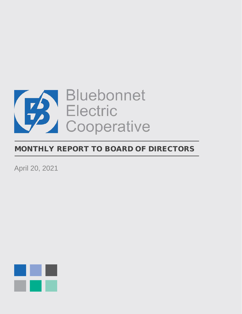

# MONTHLY REPORT TO BOARD OF DIRECTORS

April 20, 2021

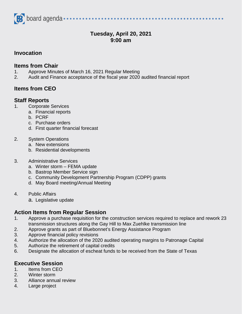

# **Tuesday, April 20, 2021 9:00 am**

## **Invocation**

#### **Items from Chair**

- 1. Approve Minutes of March 16, 2021 Regular Meeting
- 2. Audit and Finance acceptance of the fiscal year 2020 audited financial report

## **Items from CEO**

## **Staff Reports**

- 1. Corporate Services
	- a. Financial reports
	- b. PCRF
	- c. Purchase orders
	- d. First quarter financial forecast

#### 2. System Operations

- a. New extensions
- b. Residential developments

#### 3. Administrative Services

- a. Winter storm FEMA update
- b. Bastrop Member Service sign
- c. Community Development Partnership Program (CDPP) grants
- d. May Board meeting/Annual Meeting
- 4. Public Affairs
	- a. Legislative update

## **Action Items from Regular Session**

- 1. Approve a purchase requisition for the construction services required to replace and rework 23 transmission structures along the Gay Hill to Max Zuehlke transmission line
- 2. Approve grants as part of Bluebonnet's Energy Assistance Program
- 3. Approve financial policy revisions
- 4. Authorize the allocation of the 2020 audited operating margins to Patronage Capital
- 5. Authorize the retirement of capital credits
- 6. Designate the allocation of escheat funds to be received from the State of Texas

## **Executive Session**

- 1. Items from CEO
- 2. Winter storm
- 3. Alliance annual review
- 4. Large project